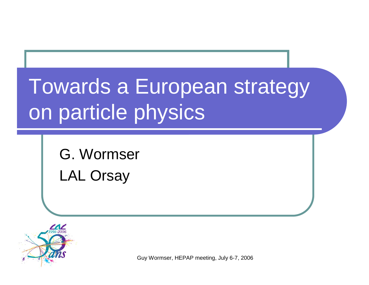# Towards a European strategy on particle physics

G. Wormser LAL Orsay



Guy Wormser, HEPAP meeting, July 6-7, 2006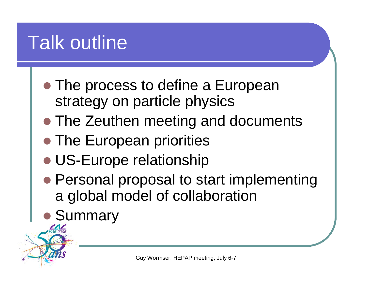#### Talk outline

- The process to define a European strategy on particle physics
- The Zeuthen meeting and documents
- The European priorities
- US-Europe relationship
- Personal proposal to start implementing a global model of collaboration
- **Summary**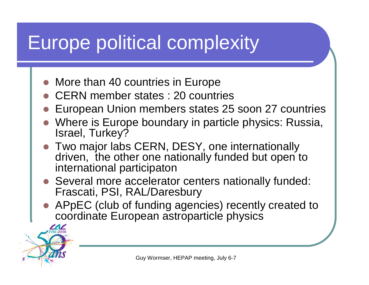### Europe political complexity

- More than 40 countries in Europe
- $\bullet$ CERN member states : 20 countries
- $\bullet$ European Union members states 25 soon 27 countries
- Where is Europe boundary in particle physics: Russia, Israel, Turkey?
- Two major labs CERN, DESY, one internationally driven, the other one nationally funded but open to international participaton
- Several more accelerator centers nationally funded: Frascati, PSI, RAL/Daresbury
- APpEC (club of funding agencies) recently created to coordinate European astroparticle physics

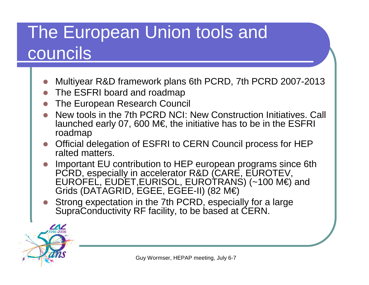#### The European Union tools and councils

- O Multiyear R&D framework plans 6th PCRD, 7th PCRD 2007-2013
- The ESFRI board and roadmap
- O The European Research Council
- O New tools in the 7th PCRD NCI: New Construction Initiatives. Call launched early 07, 600 M€, the initiative has to be in the ESFRI roadmap
- Official delegation of ESFRI to CERN Council process for HEP ralted matters.
- O Important EU contribution to HEP european programs since 6th PCRD, especially in accelerator R&D (CARE, EUROTEV, EUROFEL, EUDET,EURISOL, EUROTRANS) (~100 M€) and Grids (DATAGRID, EGEE, EGEE-II) (82 M€)
- O Strong expectation in the 7th PCRD, especially for a large SupraConductivity RF facility, to be based at CERN.



Guy Wormser, HEPAP meeting, July 6-7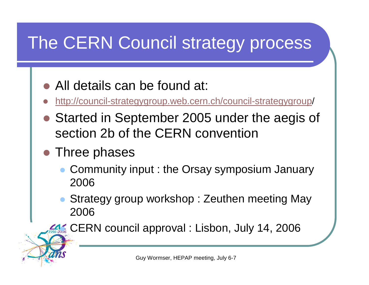#### The CERN Council strategy process

- All details can be found at:
- O http://council-strategygroup.web.cern.ch/council-strategygroup/
- Started in September 2005 under the aegis of section 2b of the CERN convention
- Three phases
	- $\bullet$  Community input : the Orsay symposium January 2006
	- $\bullet$  Strategy group workshop : Zeuthen meeting May 2006

z CERN council approval : Lisbon, July 14, 2006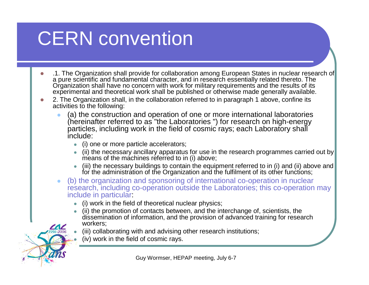## CERN convention

- z .1. The Organization shall provide for collaboration among European States in nuclear research of Diganization shall have no concern with work for military requirements and the results of its experimental and theoretical work shall be published or otherwise made generally available.
- $\bigcirc$  2. The Organization shall, in the collaboration referred to in paragraph 1 above, confine its activities to the following:
	- $\bullet$  (a) the construction and operation of one or more international laboratories (hereinafter referred to as "the Laboratories ") for research on high-energy particles, including work in the field of cosmic rays; each Laboratory shall include:
		- (i) one or more particle accelerators;
		- $\bullet$  (ii) the necessary ancillary apparatus for use in the research programmes carried out by means of the machines referred to in (i) above;
		- z (iii) the necessary buildings to contain the equipment referred to in (i) and (ii) above and for the administration of the Organization and the fulfilment of its other functions;
	- $\bullet$  (b) the organization and sponsoring of international co-operation in nuclear research, including co-operation outside the Laboratories; this co-operation may include in particular:
		- z(i) work in the field of theoretical nuclear physics;
		- z (ii) the promotion of contacts between, and the interchange of, scientists, the dissemination of information, and the provision of advanced training for research workers;
			- (iii) collaborating with and advising other research institutions;
			- (iv) work in the field of cosmic rays.

z

z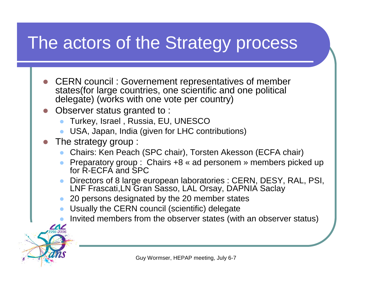#### The actors of the Strategy process

- O CERN council : Governement representatives of member states(for large countries, one scientific and one political delegate) (works with one vote per country)
- O Observer status granted to :
	- $\bullet$ Turkey, Israel , Russia, EU, UNESCO
	- $\bullet$ USA, Japan, India (given for LHC contributions)
- O The strategy group :
	- $\bullet$ Chairs: Ken Peach (SPC chair), Torsten Akesson (ECFA chair)
	- $\bullet$  Preparatory group : Chairs +8 « ad personem » members picked up for R-ECFA and SPC
	- $\bullet$  Directors of 8 large european laboratories : CERN, DESY, RAL, PSI, LNF Frascati,LN Gran Sasso, LAL Orsay, DAPNIA Saclay
	- $\bullet$ 20 persons designated by the 20 member states
	- $\bullet$ Usually the CERN council (scientific) delegate
	- $\bullet$ Invited members from the observer states (with an observer status)

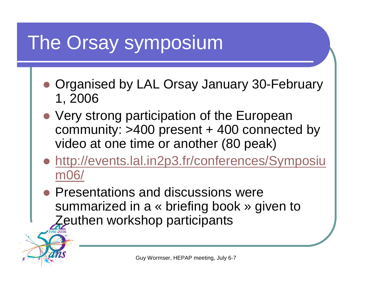### The Orsay symposium

- Organised by LAL Orsay January 30-February 1, 2006
- Very strong participation of the European community:  $>400$  present  $+$  400 connected by video at one time or another (80 peak)
- http://events.lal.in2p3.fr/conferences/Symposiu m06/
- O Presentations and discussions were summarized in a « briefing book » given to Zeuthen workshop participants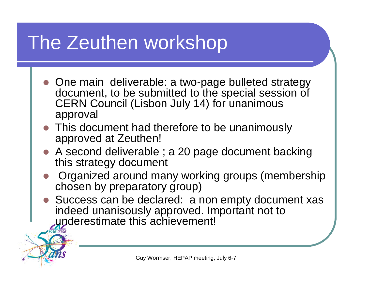#### The Zeuthen workshop

- One main deliverable: a two-page bulleted strategy document, to be submitted to the special session of CERN Council (Lisbon July 14) for unanimous approval
- This document had therefore to be unanimously approved at Zeuthen!
- A second deliverable ; a 20 page document backing this strategy document
- O Organized around many working groups (membership chosen by preparatory group)
- Success can be declared: a non empty document xas indeed unanisously approved. Important not to underestimate this achievement!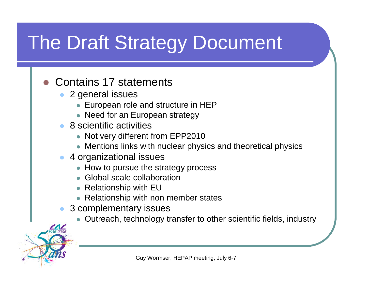## The Draft Strategy Document

#### **z** Contains 17 statements

- z 2 general issues
	- $\bullet\,$  European role and structure in HEP
	- Need for an European strategy
- z 8 scientific activities
	- Not very different from EPP2010
	- $\bullet\,$  Mentions links with nuclear physics and theoretical physics
- z 4 organizational issues
	- $\bullet$  How to pursue the strategy process
	- Global scale collaboration
	- Relationship with  $EU$
	- Relationship with non member states
- $\bullet$  3 complementary issues
	- zOutreach, technology transfer to other scientific fields, industry

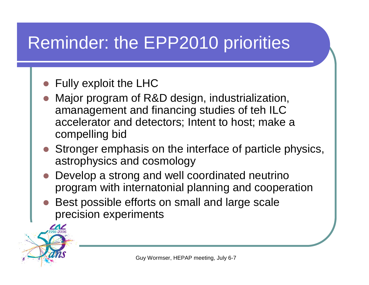#### Reminder: the EPP2010 priorities

- **z** Fully exploit the LHC
- z Major program of R&D design, industrialization, amanagement and financing studies of teh ILC accelerator and detectors; Intent to host; make <sup>a</sup> compelling bid
- Stronger emphasis on the interface of particle physics, astrophysics and cosmology
- Develop a strong and well coordinated neutrino program with internatonial planning and cooperation
- z Best possible efforts on small and large scale precision experiments

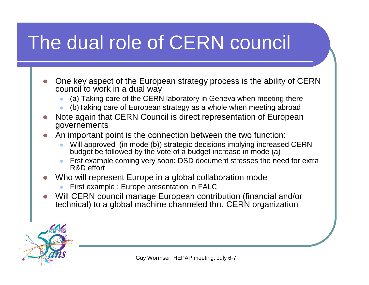## The dual role of CERN council

- z One key aspect of the European strategy process is the ability of CERN council to work in a dual way
	- $\bullet$ (a) Taking care of the CERN laboratory in Geneva when meeting there
	- $\bullet$ (b)Taking care of European strategy as a whole when meeting abroad
- z Note again that CERN Council is direct representation of European governements
- z An important point is the connection between the two function:
	- $\bullet$  Will approved (in mode (b)) strategic decisions implying increased CERN budget be followed by the vote of a budget increase in mode (a)
	- $\bullet$  Frst example coming very soon: DSD document stresses the need for extra R&D effort
- z Who will represent Europe in a global collaboration mode
	- $\bullet$ First example : Europe presentation in FALC
- O Will CERN council manage European contribution (financial and/or technical) to a global machine channeled thru CERN organization

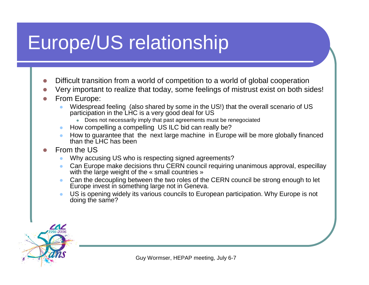### Europe/US relationship

- zDifficult transition from a world of competition to a world of global cooperation
- zVery important to realize that today, some feelings of mistrust exist on both sides!
- z From Europe:
	- z Widespread feeling (also shared by some in the US!) that the overall scenario of US participation in the LHC is a very good deal for US
		- Does not necessarily imply that past agreements must be renegociated
	- How compelling a compelling US ILC bid can really be?
	- z How to guarantee that the next large machine in Europe will be more globally financed than the LHC has been
- z From the US
	- zWhy accusing US who is respecting signed agreements?
	- z Can Europe make decisions thru CERN council requiring unanimous approval, especillay with the large weight of the « small countries »
	- zCan the decoupling between the two roles of the CERN council be strong enough to let Europe invest in something large not in Geneva.
	- z US is opening widely its various councils to European participation. Why Europe is not doing the same?



Guy Wormser, HEPAP meeting, July 6-7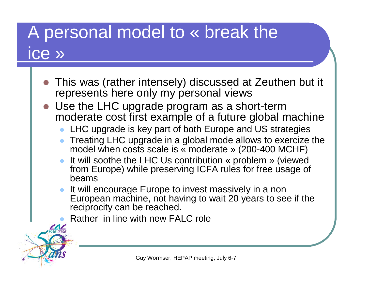#### A personal model to « break the ice »

- **z**  This was (rather intensely) discussed at Zeuthen but it represents here only my personal views
- **z**  Use the LHC upgrade program as a short-term moderate cost first example of a future global machine
	- $\bullet$ LHC upgrade is key part of both Europe and US strategies
	- z Treating LHC upgrade in a global mode allows to exercize the model when costs scale is « moderate » (200-400 MCHF)
	- It will soothe the LHC Us contribution « problem » (viewed from Europe) while preserving ICFA rules for free usage of beams
	- $\bullet$  It will encourage Europe to invest massively in a non European machine, not having to wait 20 years to see if the reciprocity can be reached.
	- zRather in line with new FALC role

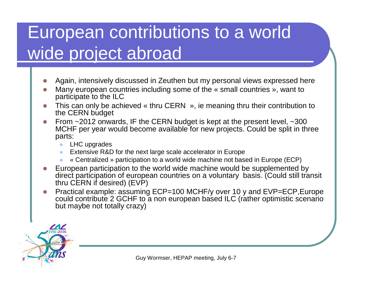#### European contributions to a world wide project abroad

- zAgain, intensively discussed in Zeuthen but my personal views expressed here
- z Many european countries including some of the « small countries », want to participate to the ILC
- z This can only be achieved « thru CERN », ie meaning thru their contribution to the CERN budget
- z From ~2012 onwards, IF the CERN budget is kept at the present level, ~300 MCHF per year would become available for new projects. Could be split in three parts:
	- LHC upgrades
	- zExtensive R&D for the next large scale accelerator in Europe
	- z« Centralized » participation to a world wide machine not based in Europe (ECP)
- z European participation to the world wide machine would be supplemented by direct participation of european countries on a voluntary basis. (Could still transit thru CERN if desired) (EVP)
- zPractical example: assuming ECP=100 MCHF/y over 10 y and EVP=ECP, Europe could contribute 2 GCHF to a non european based ILC (rather optimistic scenario but maybe not totally crazy)



Guy Wormser, HEPAP meeting, July 6-7